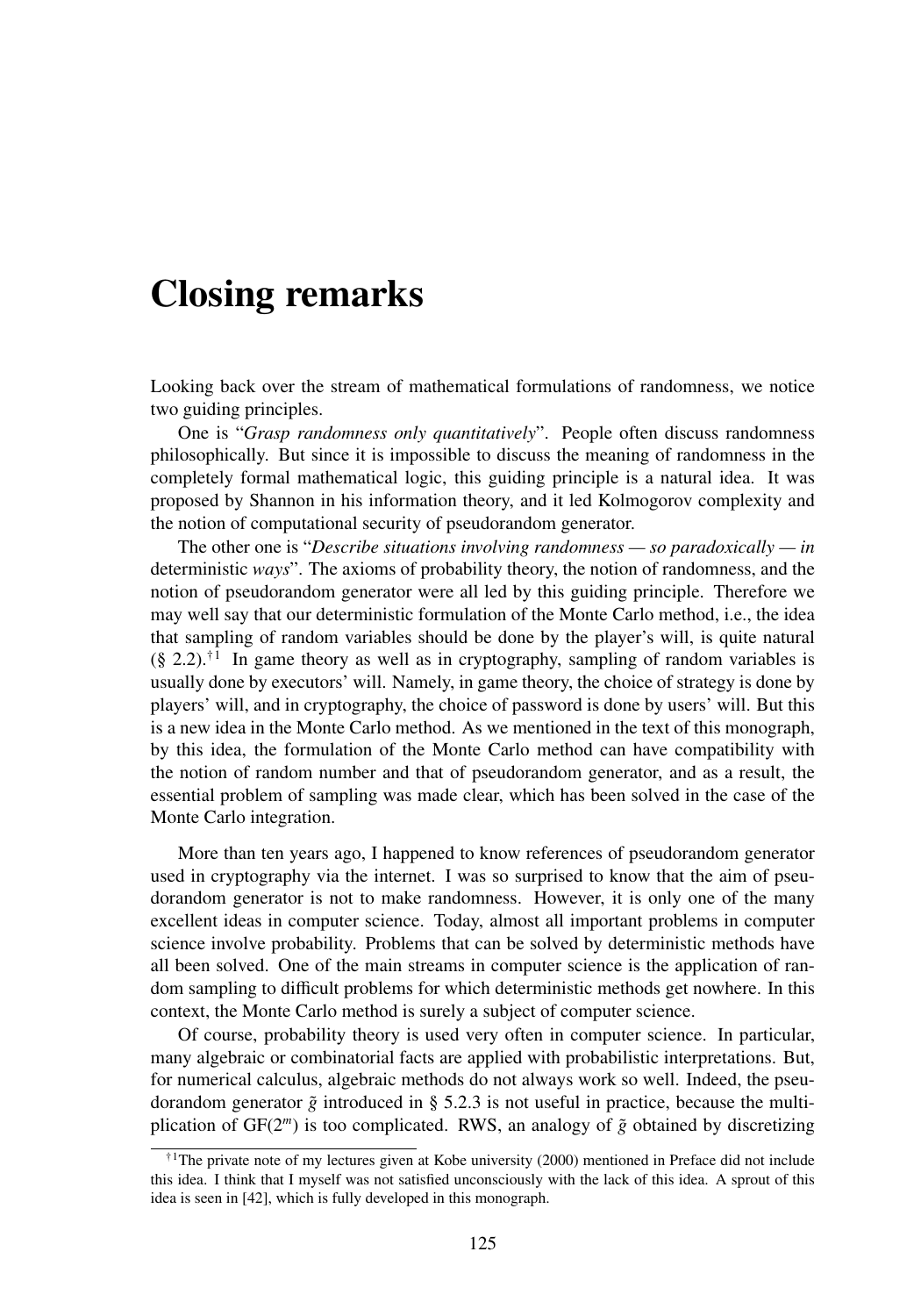## Closing remarks

Looking back over the stream of mathematical formulations of randomness, we notice two guiding principles.

One is "*Grasp randomness only quantitatively*". People often discuss randomness philosophically. But since it is impossible to discuss the meaning of randomness in the completely formal mathematical logic, this guiding principle is a natural idea. It was proposed by Shannon in his information theory, and it led Kolmogorov complexity and the notion of computational security of pseudorandom generator.

The other one is "*Describe situations involving randomness — so paradoxically — in* deterministic *ways*". The axioms of probability theory, the notion of randomness, and the notion of pseudorandom generator were all led by this guiding principle. Therefore we may well say that our deterministic formulation of the Monte Carlo method, i.e., the idea that sampling of random variables should be done by the player's will, is quite natural  $(\S 2.2).^{\dagger 1}$  In game theory as well as in cryptography, sampling of random variables is usually done by executors' will. Namely, in game theory, the choice of strategy is done by players' will, and in cryptography, the choice of password is done by users' will. But this is a new idea in the Monte Carlo method. As we mentioned in the text of this monograph, by this idea, the formulation of the Monte Carlo method can have compatibility with the notion of random number and that of pseudorandom generator, and as a result, the essential problem of sampling was made clear, which has been solved in the case of the Monte Carlo integration.

More than ten years ago, I happened to know references of pseudorandom generator used in cryptography via the internet. I was so surprised to know that the aim of pseudorandom generator is not to make randomness. However, it is only one of the many excellent ideas in computer science. Today, almost all important problems in computer science involve probability. Problems that can be solved by deterministic methods have all been solved. One of the main streams in computer science is the application of random sampling to difficult problems for which deterministic methods get nowhere. In this context, the Monte Carlo method is surely a subject of computer science.

Of course, probability theory is used very often in computer science. In particular, many algebraic or combinatorial facts are applied with probabilistic interpretations. But, for numerical calculus, algebraic methods do not always work so well. Indeed, the pseudorandom generator  $\tilde{g}$  introduced in § 5.2.3 is not useful in practice, because the multiplication of  $GF(2<sup>m</sup>)$  is too complicated. RWS, an analogy of  $\tilde{g}$  obtained by discretizing

 $\uparrow$ <sup>1</sup>The private note of my lectures given at Kobe university (2000) mentioned in Preface did not include this idea. I think that I myself was not satisfied unconsciously with the lack of this idea. A sprout of this idea is seen in [42], which is fully developed in this monograph.